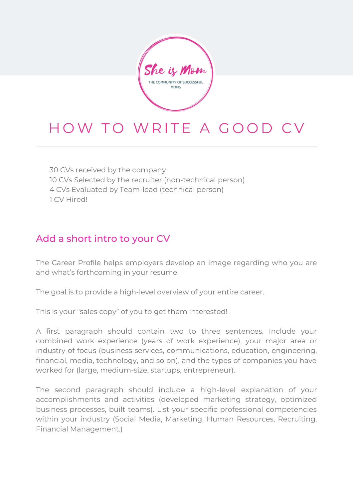She is Mom THE COMMUNITY OF SUCCESSFUL **MOMS** 

# HOW TO WRITE A GOOD CV

 CVs received by the company CVs Selected by the recruiter (non-technical person) CVs Evaluated by Team-lead (technical person) CV Hired!

# Add a short intro to your CV

The Career Profile helps employers develop an image regarding who you are and what's forthcoming in your resume.

The goal is to provide a high-level overview of your entire career.

This is your "sales copy" of you to get them interested!

A first paragraph should contain two to three sentences. Include your combined work experience (years of work experience), your major area or industry of focus (business services, communications, education, engineering, financial, media, technology, and so on), and the types of companies you have worked for (large, medium-size, startups, entrepreneur).

The second paragraph should include a high-level explanation of your accomplishments and activities (developed marketing strategy, optimized business processes, built teams). List your specific professional competencies within your industry (Social Media, Marketing, Human Resources, Recruiting, Financial Management.)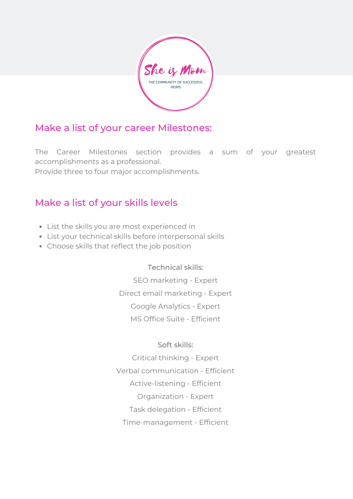

# Make a list of your career Milestones:

The Career Milestones section provides a sum of your greatest accomplishments as a professional. Provide three to four major accomplishments.

# Make a list of your skills levels

- List the skills you are most experienced in
- List your technical skills before interpersonal skills
- Choose skills that reflect the job position

Technical skills: SEO marketing - Expert Direct email marketing - Expert Google Analytics - Expert MS Office Suite - Efficient

#### Soft skills:

Critical thinking - Expert Verbal communication - Efficient Active-listening - Efficient Organization - Expert Task delegation - Efficient Time-management - Efficient